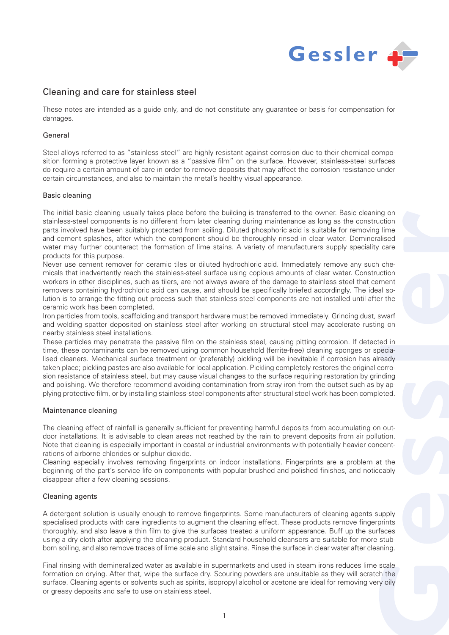

# Cleaning and care for stainless steel

These notes are intended as a guide only, and do not constitute any guarantee or basis for compensation for damages.

# General

Steel alloys referred to as "stainless steel" are highly resistant against corrosion due to their chemical composition forming a protective layer known as a "passive film" on the surface. However, stainless-steel surfaces do require a certain amount of care in order to remove deposits that may affect the corrosion resistance under certain circumstances, and also to maintain the metal's healthy visual appearance.

#### Basic cleaning

The initial basic cleaning usually takes place before the building is transferred to the owner. Basic cleaning on stainless-steel components is no different from later cleaning during maintenance as long as the construction parts involved have been suitably protected from soiling. Diluted phosphoric acid is suitable for removing lime and cement splashes, after which the component should be thoroughly rinsed in clear water. Demineralised water may further counteract the formation of lime stains. A variety of manufacturers supply speciality care products for this purpose.

Never use cement remover for ceramic tiles or diluted hydrochloric acid. Immediately remove any such chemicals that inadvertently reach the stainless-steel surface using copious amounts of clear water. Construction workers in other disciplines, such as tilers, are not always aware of the damage to stainless steel that cement removers containing hydrochloric acid can cause, and should be specifically briefed accordingly. The ideal solution is to arrange the fitting out process such that stainless-steel components are not installed until after the ceramic work has been completed.

Iron particles from tools, scaffolding and transport hardware must be removed immediately. Grinding dust, swarf and welding spatter deposited on stainless steel after working on structural steel may accelerate rusting on nearby stainless steel installations.

These particles may penetrate the passive film on the stainless steel, causing pitting corrosion. If detected in time, these contaminants can be removed using common household (ferrite-free) cleaning sponges or specialised cleaners. Mechanical surface treatment or (preferably) pickling will be inevitable if corrosion has already taken place; pickling pastes are also available for local application. Pickling completely restores the original corrosion resistance of stainless steel, but may cause visual changes to the surface requiring restoration by grinding and polishing. We therefore recommend avoiding contamination from stray iron from the outset such as by applying protective film, or by installing stainless-steel components after structural steel work has been completed.

# Maintenance cleaning

The cleaning effect of rainfall is generally sufficient for preventing harmful deposits from accumulating on outdoor installations. It is advisable to clean areas not reached by the rain to prevent deposits from air pollution. Note that cleaning is especially important in coastal or industrial environments with potentially heavier concentrations of airborne chlorides or sulphur dioxide.

Cleaning especially involves removing fingerprints on indoor installations. Fingerprints are a problem at the beginning of the part's service life on components with popular brushed and polished finishes, and noticeably disappear after a few cleaning sessions.

# Cleaning agents

A detergent solution is usually enough to remove fingerprints. Some manufacturers of cleaning agents supply specialised products with care ingredients to augment the cleaning effect. These products remove fingerprints thoroughly, and also leave a thin film to give the surfaces treated a uniform appearance. Buff up the surfaces using a dry cloth after applying the cleaning product. Standard household cleansers are suitable for more stubborn soiling, and also remove traces of lime scale and slight stains. Rinse the surface in clear water after cleaning.

Final rinsing with demineralized water as available in supermarkets and used in steam irons reduces lime scale formation on drying. After that, wipe the surface dry. Scouring powders are unsuitable as they will scratch the surface. Cleaning agents or solvents such as spirits, isopropyl alcohol or acetone are ideal for removing very oily or greasy deposits and safe to use on stainless steel.